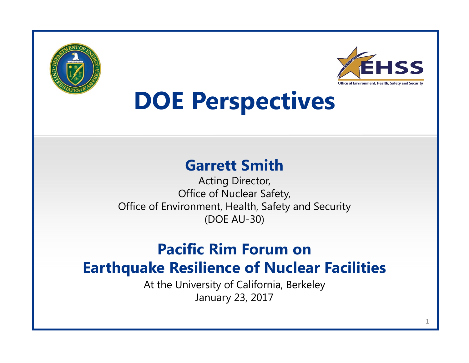



# **DOE Perspectives**

#### **Garrett Smith**

Acting Director, Office of Nuclear Safety, Office of Environment, Health, Safety and Security (DOE AU-30)

#### **Pacific Rim Forum on Earthquake Resilience of Nuclear Facilities**

At the University of California, Berkeley January 23, 2017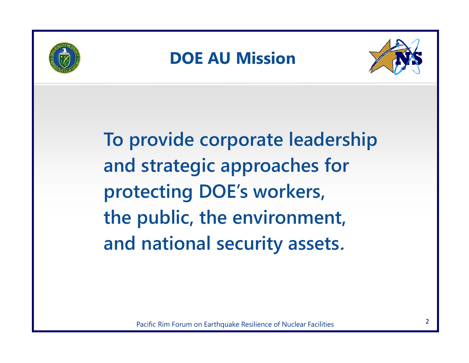

### **DOE AU Mission**



**To provide corporate leadership and strategic approaches for protecting DOE's workers, the public, the environment, and national security assets.**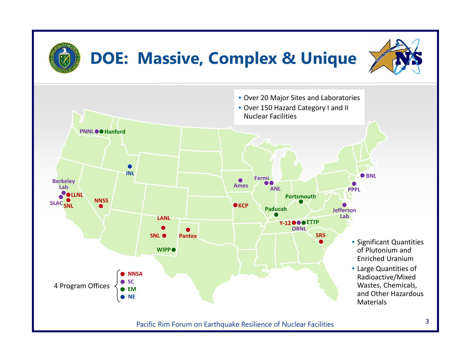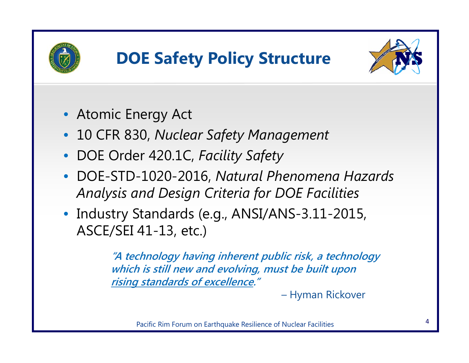

## **DOE Safety Policy Structure**



- Atomic Energy Act
- 10 CFR 830, *Nuclear Safety Management*
- DOE Order 420.1C, *Facility Safety*
- DOE-STD-1020-2016, *Natural Phenomena Hazards Analysis and Design Criteria for DOE Facilities*
- Industry Standards (e.g., ANSI/ANS-3.11-2015, ASCE/SEI 41-13, etc.)

**"A technology having inherent public risk, a technology which is still new and evolving, must be built upon rising standards of excellence."** 

– Hyman Rickover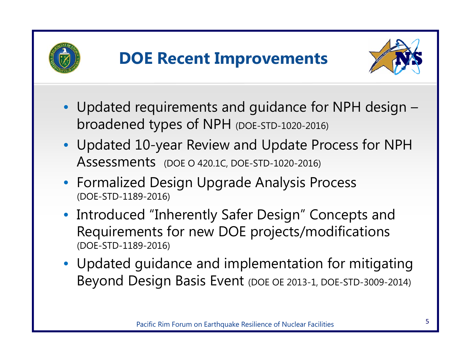



- Updated requirements and guidance for NPH design broadened types of NPH (DOE-STD-1020-2016)
- Updated 10-year Review and Update Process for NPH Assessments (DOE O 420.1C, DOE-STD-1020-2016)
- Formalized Design Upgrade Analysis Process (DOE-STD-1189-2016)
- Introduced "Inherently Safer Design" Concepts and Requirements for new DOE projects/modifications (DOE-STD-1189-2016)
- Updated guidance and implementation for mitigating Beyond Design Basis Event (DOE OE 2013-1, DOE-STD-3009-2014)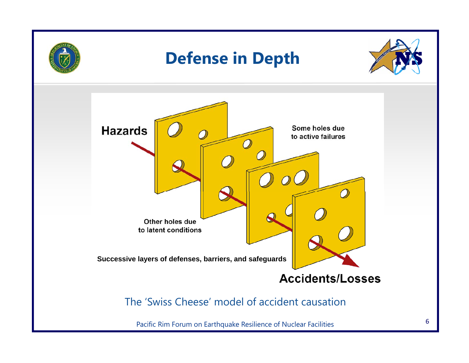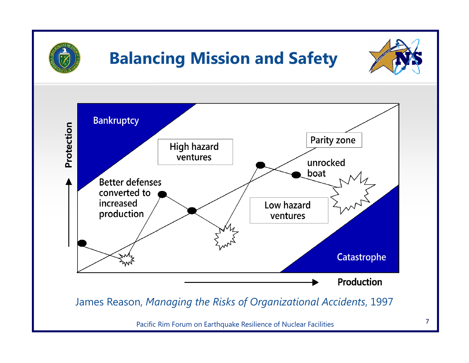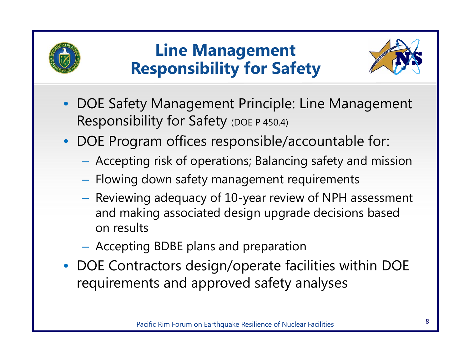

### **Line Management Responsibility for Safety**



- DOE Safety Management Principle: Line Management Responsibility for Safety (DOE P 450.4)
- DOE Program offices responsible/accountable for:
	- Accepting risk of operations; Balancing safety and mission
	- $-$  Flowing down safety management requirements
	- $-$  Reviewing adequacy of 10-year review of NPH assessment and making associated design upgrade decisions based on results
	- Accepting BDBE plans and preparation
- DOE Contractors design/operate facilities within DOE requirements and approved safety analyses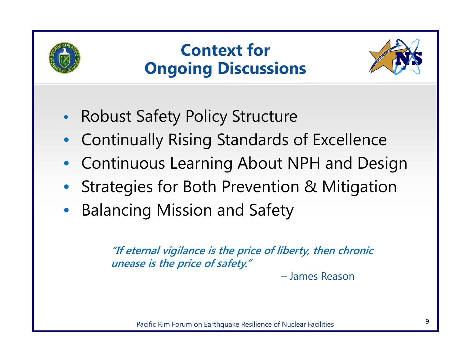

## **Context for Ongoing Discussions**



- $\bullet$ Robust Safety Policy Structure
- $\bullet$ Continually Rising Standards of Excellence
- •Continuous Learning About NPH and Design
- Strategies for Both Prevention & Mitigation
- •Balancing Mission and Safety

**"If eternal vigilance is the price of liberty, then chronic unease is the price of safety."** 

– James Reason